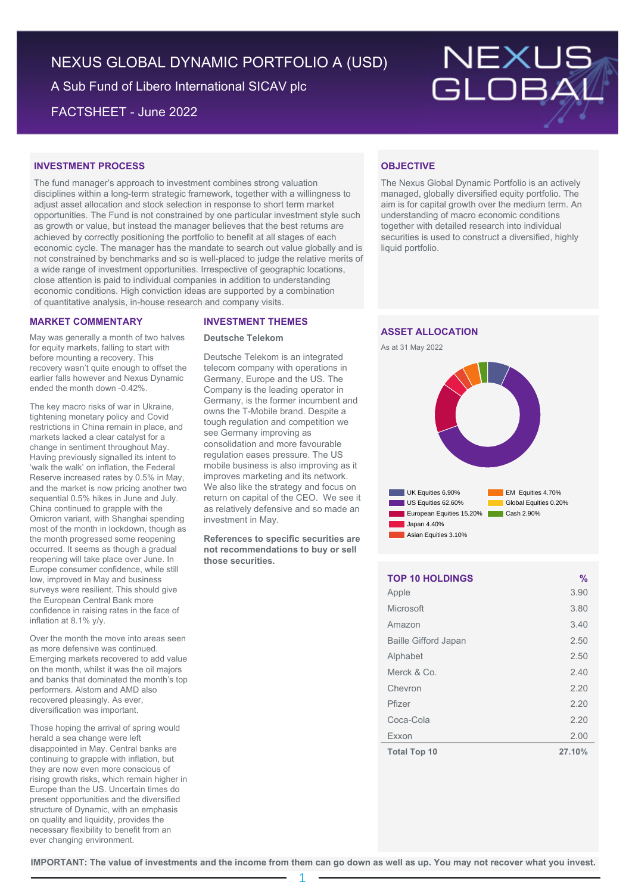# NEXUS GLOBAL DYNAMIC PORTFOLIO A (USD)

A Sub Fund of Libero International SICAV plc

FACTSHEET - June 2022



# **INVESTMENT PROCESS**

The fund manager's approach to investment combines strong valuation disciplines within a long-term strategic framework, together with a willingness to adjust asset allocation and stock selection in response to short term market opportunities. The Fund is not constrained by one particular investment style such as growth or value, but instead the manager believes that the best returns are achieved by correctly positioning the portfolio to benefit at all stages of each economic cycle. The manager has the mandate to search out value globally and is not constrained by benchmarks and so is well-placed to judge the relative merits of a wide range of investment opportunities. Irrespective of geographic locations, close attention is paid to individual companies in addition to understanding economic conditions. High conviction ideas are supported by a combination of quantitative analysis, in-house research and company visits.

# **MARKET COMMENTARY**

May was generally a month of two halves for equity markets, falling to start with before mounting a recovery. This recovery wasn't quite enough to offset the earlier falls however and Nexus Dynamic ended the month down -0.42%.

The key macro risks of war in Ukraine, tightening monetary policy and Covid restrictions in China remain in place, and markets lacked a clear catalyst for a change in sentiment throughout May. Having previously signalled its intent to 'walk the walk' on inflation, the Federal Reserve increased rates by 0.5% in May, and the market is now pricing another two sequential 0.5% hikes in June and July. China continued to grapple with the Omicron variant, with Shanghai spending most of the month in lockdown, though as the month progressed some reopening occurred. It seems as though a gradual reopening will take place over June. In Europe consumer confidence, while still low, improved in May and business surveys were resilient. This should give the European Central Bank more confidence in raising rates in the face of inflation at 8.1% y/y.

Over the month the move into areas seen as more defensive was continued. Emerging markets recovered to add value on the month, whilst it was the oil majors and banks that dominated the month's top performers. Alstom and AMD also recovered pleasingly. As ever, diversification was important.

Those hoping the arrival of spring would herald a sea change were left disappointed in May. Central banks are continuing to grapple with inflation, but they are now even more conscious of rising growth risks, which remain higher in Europe than the US. Uncertain times do present opportunities and the diversified structure of Dynamic, with an emphasis on quality and liquidity, provides the necessary flexibility to benefit from an ever changing environment.

## **INVESTMENT THEMES**

## **Deutsche Telekom**

Deutsche Telekom is an integrated telecom company with operations in Germany, Europe and the US. The Company is the leading operator in Germany, is the former incumbent and owns the T-Mobile brand. Despite a tough regulation and competition we see Germany improving as consolidation and more favourable regulation eases pressure. The US mobile business is also improving as it improves marketing and its network. We also like the strategy and focus on return on capital of the CEO. We see it as relatively defensive and so made an investment in May.

**References to specific securities are not recommendations to buy or sell those securities.**

# **OBJECTIVE**

The Nexus Global Dynamic Portfolio is an actively managed, globally diversified equity portfolio. The aim is for capital growth over the medium term. An understanding of macro economic conditions together with detailed research into individual securities is used to construct a diversified, highly liquid portfolio.

# **ASSET ALLOCATION**





| <b>TOP 10 HOLDINGS</b>      | $\frac{0}{0}$ |
|-----------------------------|---------------|
| Apple                       | 3.90          |
| Microsoft                   | 3.80          |
| Amazon                      | 3.40          |
| <b>Baille Gifford Japan</b> | 2.50          |
| Alphabet                    | 2.50          |
| Merck & Co.                 | 2.40          |
| Chevron                     | 2.20          |
| Pfizer                      | 2.20          |
| Coca-Cola                   | 2.20          |
| Exxon                       | 2.00          |
| <b>Total Top 10</b>         | 27.10%        |

**IMPORTANT: The value of investments and the income from them can go down as well as up. You may not recover what you invest.**

1